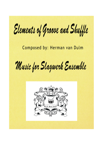Elements of Groove and Shuffle

## Composed by: Herman van Dulm

Music for Slagwerk Ensemble

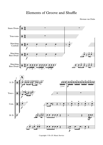Herman van Dulm



Copyright © H.v.D. Music Service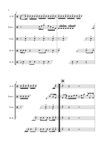

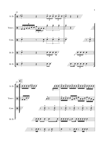

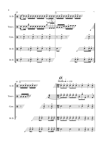

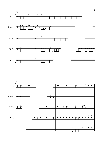

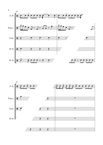

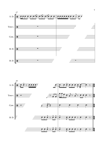

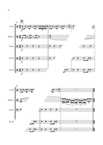

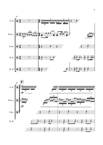